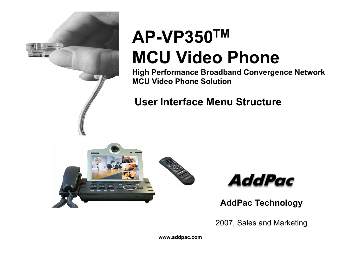

## **AP-VP350TM MCU Video Phone**

**High Performance Broadband Convergence Network MCU Video Phone Solution**

#### **User Interface Menu Structure**





**AddPac Technology**

2007, Sales and Marketing

**www.addpac.com**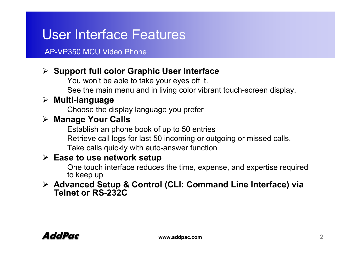### User Interface Features

#### AP-VP350 MCU Video Phone

#### ¾ **Support full color Graphic User Interface**

You won't be able to take your eyes off it.

See the main menu and in living color vibrant touch-screen display.

#### ¾ **Multi-language**

Choose the display language you prefer

#### ¾ **Manage Your Calls**

Establish an phone book of up to 50 entries Retrieve call logs for last 50 incoming or outgoing or missed calls. Take calls quickly with auto-answer function

#### ¾ **Ease to use network setup**

One touch interface reduces the time, expense, and expertise required to keep up

#### ¾ **Advanced Setup & Control (CLI: Command Line Interface) via Telnet or RS-232C**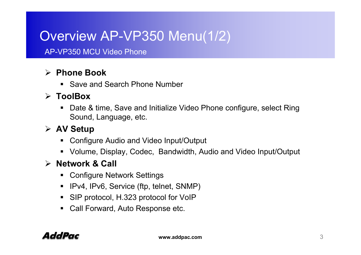### Overview AP-VP350 Menu(1/2)

AP-VP350 MCU Video Phone

#### ¾ **Phone Book**

- Save and Search Phone Number
- ¾ **ToolBox**
	- Date & time, Save and Initialize Video Phone configure, select Ring Sound, Language, etc.

#### ¾ **AV Setup**

- Configure Audio and Video Input/Output
- Volume, Display, Codec, Bandwidth, Audio and Video Input/Output

#### ¾ **Network & Call**

- Configure Network Settings
- IPv4, IPv6, Service (ftp, telnet, SNMP)
- SIP protocol, H.323 protocol for VoIP
- $\blacksquare$ Call Forward, Auto Response etc.

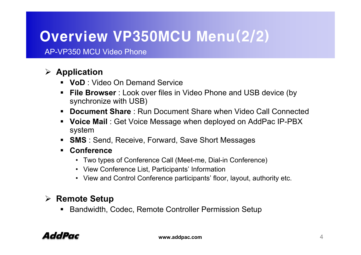### Overview VP350MCU Menu(2/2)

AP-VP350 MCU Video Phone

#### ¾ **Application**

- **VoD** : Video On Demand Service
- $\blacksquare$  **File Browser** : Look over files in Video Phone and USB device (by synchronize with USB)
- **Document Share** : Run Document Share when Video Call Connected
- **Voice Mail** : Get Voice Message when deployed on AddPac IP-PBX system
- **SMS** : Send, Receive, Forward, Save Short Messages
- $\blacksquare$  **Conference** 
	- Two types of Conference Call (Meet-me, Dial-in Conference)
	- View Conference List, Participants' Information
	- View and Control Conference participants' floor, layout, authority etc.

#### ¾ **Remote Setup**

■ Bandwidth, Codec, Remote Controller Permission Setup

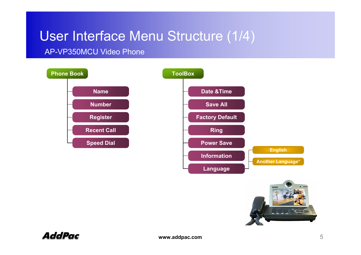### User Interface Menu Structure (1/4)

AP-VP350MCU Video Phone





**AddPac**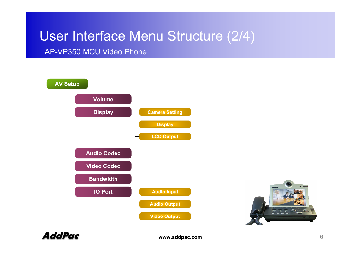### User Interface Menu Structure (2/4)

AP-VP350 MCU Video Phone



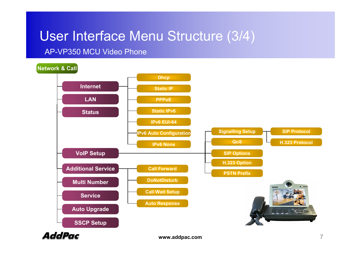### User Interface Menu Structure (3/4)

AP-VP350 MCU Video Phone

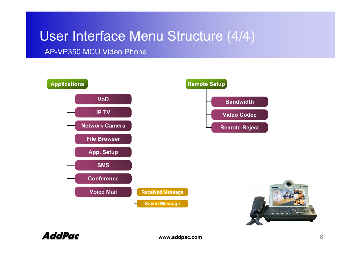### User Interface Menu Structure (4/4)

AP-VP350 MCU Video Phone